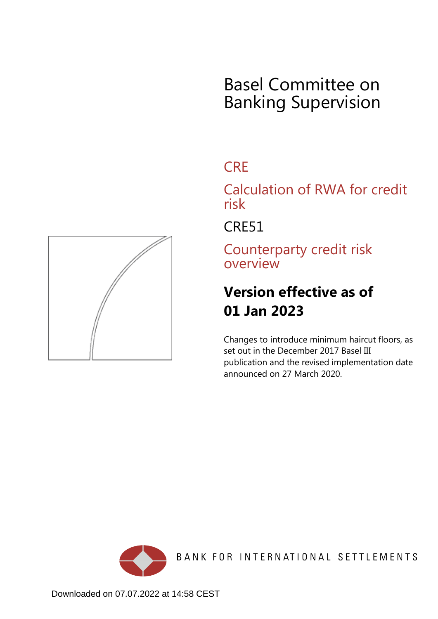# Basel Committee on Banking Supervision

## **CRE**

Calculation of RWA for credit risk

CRE51

Counterparty credit risk overview

## **Version effective as of 01 Jan 2023**

Changes to introduce minimum haircut floors, as set out in the December 2017 Basel III publication and the revised implementation date announced on 27 March 2020.



BANK FOR INTERNATIONAL SETTLEMENTS

<span id="page-0-0"></span>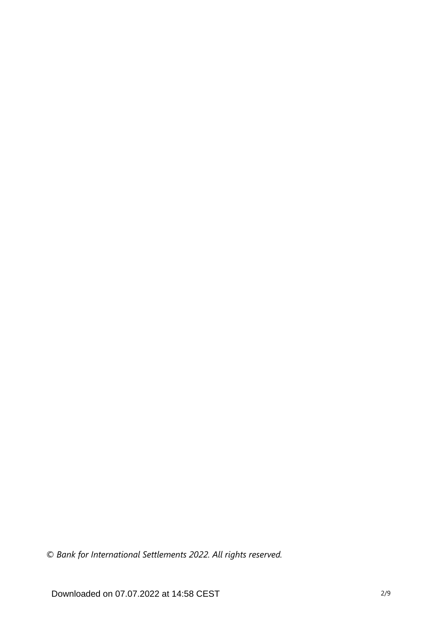*© Bank for International Settlements 2022. All rights reserved.*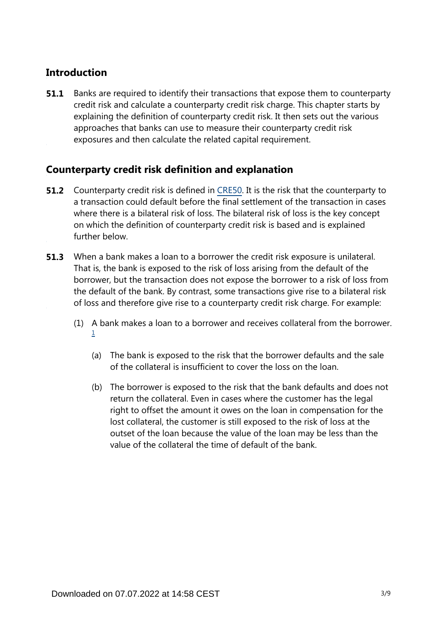### **Introduction**

Banks are required to identify their transactions that expose them to counterparty credit risk and calculate a counterparty credit risk charge. This chapter starts by explaining the definition of counterparty credit risk. It then sets out the various approaches that banks can use to measure their counterparty credit risk exposures and then calculate the related capital requirement. **51.1**

### **Counterparty credit risk definition and explanation**

- **51.2** Counterparty credit risk is defined in [CRE50.](https://www.bis.org/basel_framework/chapter/CRE/50.htm?inforce=20191215&published=20191215) It is the risk that the counterparty to a transaction could default before the final settlement of the transaction in cases where there is a bilateral risk of loss. The bilateral risk of loss is the key concept on which the definition of counterparty credit risk is based and is explained further below.
- When a bank makes a loan to a borrower the credit risk exposure is unilateral. That is, the bank is exposed to the risk of loss arising from the default of the borrower, but the transaction does not expose the borrower to a risk of loss from the default of the bank. By contrast, some transactions give rise to a bilateral risk of loss and therefore give rise to a counterparty credit risk charge. For example: **51.3**
	- (1) A bank makes a loan to a borrower and receives collateral from the borrower. [1](#page-4-0)
		- (a) The bank is exposed to the risk that the borrower defaults and the sale of the collateral is insufficient to cover the loss on the loan.
		- (b) The borrower is exposed to the risk that the bank defaults and does not return the collateral. Even in cases where the customer has the legal right to offset the amount it owes on the loan in compensation for the lost collateral, the customer is still exposed to the risk of loss at the outset of the loan because the value of the loan may be less than the value of the collateral the time of default of the bank.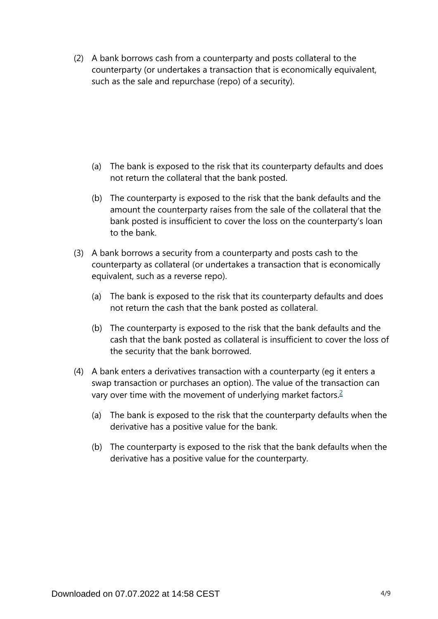(2) A bank borrows cash from a counterparty and posts collateral to the counterparty (or undertakes a transaction that is economically equivalent, such as the sale and repurchase (repo) of a security).

- (a) The bank is exposed to the risk that its counterparty defaults and does not return the collateral that the bank posted.
- (b) The counterparty is exposed to the risk that the bank defaults and the amount the counterparty raises from the sale of the collateral that the bank posted is insufficient to cover the loss on the counterparty's loan to the bank.
- (3) A bank borrows a security from a counterparty and posts cash to the counterparty as collateral (or undertakes a transaction that is economically equivalent, such as a reverse repo).
	- (a) The bank is exposed to the risk that its counterparty defaults and does not return the cash that the bank posted as collateral.
	- (b) The counterparty is exposed to the risk that the bank defaults and the cash that the bank posted as collateral is insufficient to cover the loss of the security that the bank borrowed.
- <span id="page-3-0"></span>(4) A bank enters a derivatives transaction with a counterparty (eg it enters a swap transaction or purchases an option). The value of the transaction can vary over time with the movement of underlying market factors.<sup>[2](#page-4-1)</sup>
	- (a) The bank is exposed to the risk that the counterparty defaults when the derivative has a positive value for the bank.
	- (b) The counterparty is exposed to the risk that the bank defaults when the derivative has a positive value for the counterparty.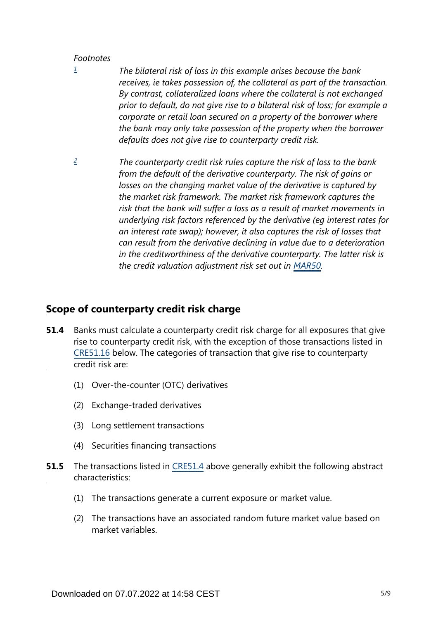#### *Footnotes*

- <span id="page-4-0"></span>*The bilateral risk of loss in this example arises because the bank receives, ie takes possession of, the collateral as part of the transaction. By contrast, collateralized loans where the collateral is not exchanged prior to default, do not give rise to a bilateral risk of loss; for example a corporate or retail loan secured on a property of the borrower where the bank may only take possession of the property when the borrower defaults does not give rise to counterparty credit risk. [1](#page-0-0)*
- <span id="page-4-1"></span>*The counterparty credit risk rules capture the risk of loss to the bank from the default of the derivative counterparty. The risk of gains or losses on the changing market value of the derivative is captured by the market risk framework. The market risk framework captures the risk that the bank will suffer a loss as a result of market movements in underlying risk factors referenced by the derivative (eg interest rates for an interest rate swap); however, it also captures the risk of losses that can result from the derivative declining in value due to a deterioration in the creditworthiness of the derivative counterparty. The latter risk is the credit valuation adjustment risk set out in [MAR50](https://www.bis.org/basel_framework/chapter/MAR/50.htm?inforce=20230101&published=20200708). [2](#page-3-0)*

#### **Scope of counterparty credit risk charge**

- Banks must calculate a counterparty credit risk charge for all exposures that give rise to counterparty credit risk, with the exception of those transactions listed in [CRE51.16](https://www.bis.org/basel_framework/chapter/CRE/51.htm?inforce=20230101&published=20200327#paragraph_CRE_51_20230101_51_16) below. The categories of transaction that give rise to counterparty credit risk are: **51.4**
	- (1) Over-the-counter (OTC) derivatives
	- (2) Exchange-traded derivatives
	- (3) Long settlement transactions
	- (4) Securities financing transactions
- The transactions listed in [CRE51.4](https://www.bis.org/basel_framework/chapter/CRE/51.htm?inforce=20230101&published=20200327#paragraph_CRE_51_20230101_51_4) above generally exhibit the following abstract characteristics: **51.5**
	- (1) The transactions generate a current exposure or market value.
	- (2) The transactions have an associated random future market value based on market variables.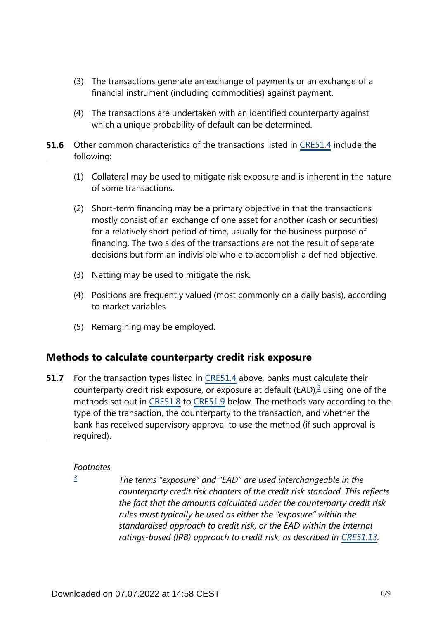- (3) The transactions generate an exchange of payments or an exchange of a financial instrument (including commodities) against payment.
- (4) The transactions are undertaken with an identified counterparty against which a unique probability of default can be determined.
- **51.6** Other common characteristics of the transactions listed in [CRE51.4](https://www.bis.org/basel_framework/chapter/CRE/51.htm?inforce=20230101&published=20200327#paragraph_CRE_51_20230101_51_4) include the following:
	- (1) Collateral may be used to mitigate risk exposure and is inherent in the nature of some transactions.
	- (2) Short-term financing may be a primary objective in that the transactions mostly consist of an exchange of one asset for another (cash or securities) for a relatively short period of time, usually for the business purpose of financing. The two sides of the transactions are not the result of separate decisions but form an indivisible whole to accomplish a defined objective.
	- (3) Netting may be used to mitigate the risk.
	- (4) Positions are frequently valued (most commonly on a daily basis), according to market variables.
	- (5) Remargining may be employed.

#### **Methods to calculate counterparty credit risk exposure**

<span id="page-5-1"></span>For the transaction types listed in [CRE51.4](https://www.bis.org/basel_framework/chapter/CRE/51.htm?inforce=20230101&published=20200327#paragraph_CRE_51_20230101_51_4) above, banks must calculate their counterparty credit risk exposure, or exposure at default (EAD), $3$  using one of the methods set out in [CRE51.8](https://www.bis.org/basel_framework/chapter/CRE/51.htm?inforce=20230101&published=20200327#paragraph_CRE_51_20230101_51_8) to [CRE51.9](https://www.bis.org/basel_framework/chapter/CRE/51.htm?inforce=20230101&published=20200327#paragraph_CRE_51_20230101_51_9) below. The methods vary according to the type of the transaction, the counterparty to the transaction, and whether the bank has received supervisory approval to use the method (if such approval is required). **51.7**

#### *Footnotes*

<span id="page-5-0"></span>*[3](#page-5-1)*

*The terms "exposure" and "EAD" are used interchangeable in the counterparty credit risk chapters of the credit risk standard. This reflects the fact that the amounts calculated under the counterparty credit risk rules must typically be used as either the "exposure" within the standardised approach to credit risk, or the EAD within the internal*  ratings-based (IRB) approach to credit risk, as described in [CRE51.13](https://www.bis.org/basel_framework/chapter/CRE/51.htm?inforce=20230101&published=20200327#paragraph_CRE_51_20230101_51_13).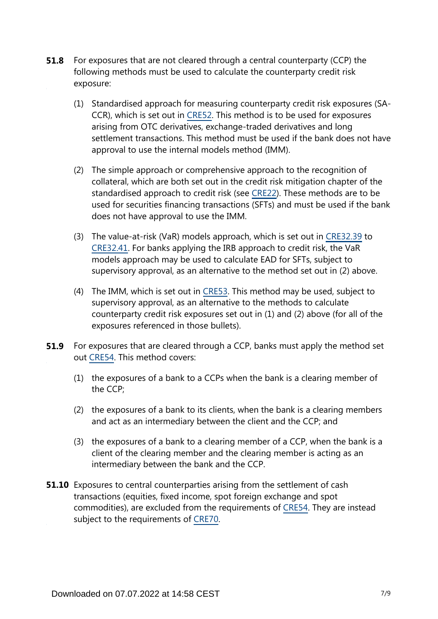- For exposures that are not cleared through a central counterparty (CCP) the following methods must be used to calculate the counterparty credit risk exposure: **51.8**
	- (1) Standardised approach for measuring counterparty credit risk exposures (SA-CCR), which is set out in [CRE52.](https://www.bis.org/basel_framework/chapter/CRE/52.htm?inforce=20230101&published=20200605) This method is to be used for exposures arising from OTC derivatives, exchange-traded derivatives and long settlement transactions. This method must be used if the bank does not have approval to use the internal models method (IMM).
	- (2) The simple approach or comprehensive approach to the recognition of collateral, which are both set out in the credit risk mitigation chapter of the standardised approach to credit risk (see [CRE22\)](https://www.bis.org/basel_framework/chapter/CRE/22.htm?inforce=20230101&published=20201126). These methods are to be used for securities financing transactions (SFTs) and must be used if the bank does not have approval to use the IMM.
	- (3) The value-at-risk (VaR) models approach, which is set out in [CRE32.39](https://www.bis.org/basel_framework/chapter/CRE/32.htm?inforce=20230101&published=20200327#paragraph_CRE_32_20230101_32_39) to [CRE32.41.](https://www.bis.org/basel_framework/chapter/CRE/32.htm?inforce=20230101&published=20200327#paragraph_CRE_32_20230101_32_41) For banks applying the IRB approach to credit risk, the VaR models approach may be used to calculate EAD for SFTs, subject to supervisory approval, as an alternative to the method set out in (2) above.
	- (4) The IMM, which is set out in [CRE53](https://www.bis.org/basel_framework/chapter/CRE/53.htm?inforce=20230101&published=20200605). This method may be used, subject to supervisory approval, as an alternative to the methods to calculate counterparty credit risk exposures set out in (1) and (2) above (for all of the exposures referenced in those bullets).
- For exposures that are cleared through a CCP, banks must apply the method set out [CRE54.](https://www.bis.org/basel_framework/chapter/CRE/54.htm?inforce=20230101&published=20200327) This method covers: **51.9**
	- (1) the exposures of a bank to a CCPs when the bank is a clearing member of the CCP;
	- (2) the exposures of a bank to its clients, when the bank is a clearing members and act as an intermediary between the client and the CCP; and
	- (3) the exposures of a bank to a clearing member of a CCP, when the bank is a client of the clearing member and the clearing member is acting as an intermediary between the bank and the CCP.
- **51.10** Exposures to central counterparties arising from the settlement of cash transactions (equities, fixed income, spot foreign exchange and spot commodities), are excluded from the requirements of [CRE54.](https://www.bis.org/basel_framework/chapter/CRE/54.htm?inforce=20230101&published=20200327) They are instead subject to the requirements of [CRE70.](https://www.bis.org/basel_framework/chapter/CRE/70.htm?inforce=20191215&published=20191215)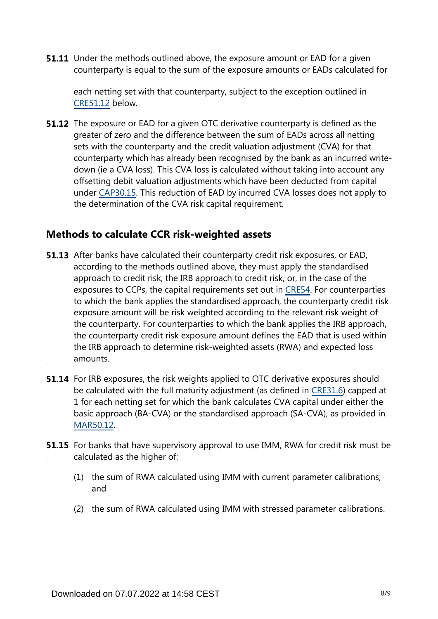**51.11** Under the methods outlined above, the exposure amount or EAD for a given counterparty is equal to the sum of the exposure amounts or EADs calculated for

each netting set with that counterparty, subject to the exception outlined in [CRE51.12](https://www.bis.org/basel_framework/chapter/CRE/51.htm?inforce=20230101&published=20200327#paragraph_CRE_51_20230101_51_12) below.

**51.12** The exposure or EAD for a given OTC derivative counterparty is defined as the greater of zero and the difference between the sum of EADs across all netting sets with the counterparty and the credit valuation adjustment (CVA) for that counterparty which has already been recognised by the bank as an incurred writedown (ie a CVA loss). This CVA loss is calculated without taking into account any offsetting debit valuation adjustments which have been deducted from capital under [CAP30.15.](https://www.bis.org/basel_framework/chapter/CAP/30.htm?inforce=20191215&published=20191215#paragraph_CAP_30_20191215_30_15) This reduction of EAD by incurred CVA losses does not apply to the determination of the CVA risk capital requirement.

#### **Methods to calculate CCR risk-weighted assets**

- **51.13** After banks have calculated their counterparty credit risk exposures, or EAD, according to the methods outlined above, they must apply the standardised approach to credit risk, the IRB approach to credit risk, or, in the case of the exposures to CCPs, the capital requirements set out in [CRE54.](https://www.bis.org/basel_framework/chapter/CRE/54.htm?inforce=20230101&published=20200327) For counterparties to which the bank applies the standardised approach, the counterparty credit risk exposure amount will be risk weighted according to the relevant risk weight of the counterparty. For counterparties to which the bank applies the IRB approach, the counterparty credit risk exposure amount defines the EAD that is used within the IRB approach to determine risk-weighted assets (RWA) and expected loss amounts.
- **51.14** For IRB exposures, the risk weights applied to OTC derivative exposures should be calculated with the full maturity adjustment (as defined in [CRE31.6](https://www.bis.org/basel_framework/chapter/CRE/31.htm?inforce=20230101&published=20200327#paragraph_CRE_31_20230101_31_6)) capped at 1 for each netting set for which the bank calculates CVA capital under either the basic approach (BA-CVA) or the standardised approach (SA-CVA), as provided in [MAR50.12](https://www.bis.org/basel_framework/chapter/MAR/50.htm?inforce=20230101&published=20200708#paragraph_MAR_50_20230101_50_12).
- **51.15** For banks that have supervisory approval to use IMM, RWA for credit risk must be calculated as the higher of:
	- (1) the sum of RWA calculated using IMM with current parameter calibrations; and
	- (2) the sum of RWA calculated using IMM with stressed parameter calibrations.